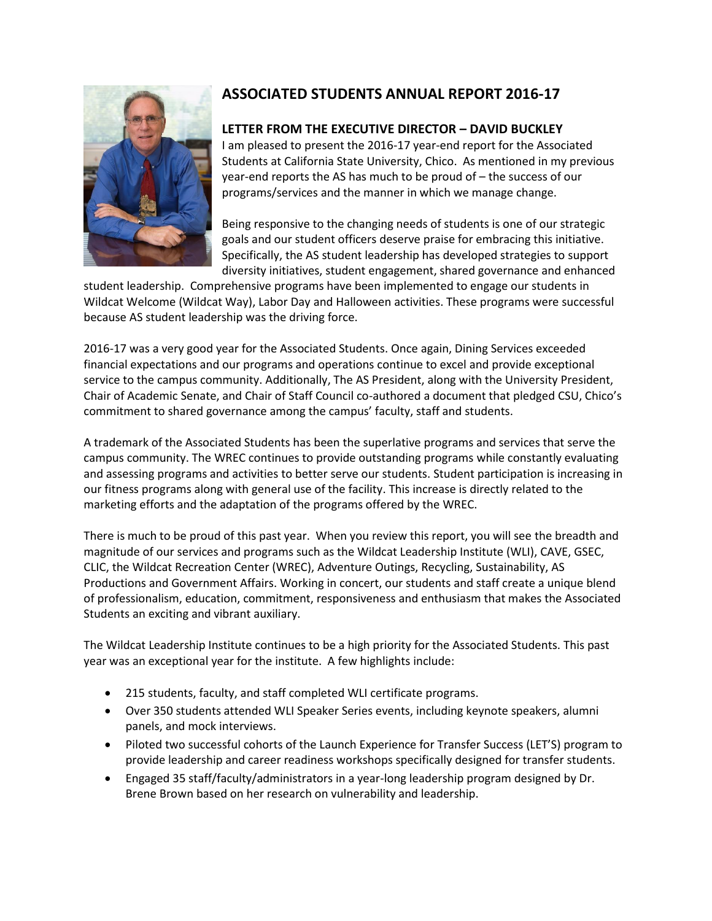

# **ASSOCIATED STUDENTS ANNUAL REPORT 2016-17**

# **LETTER FROM THE EXECUTIVE DIRECTOR – DAVID BUCKLEY**

I am pleased to present the 2016-17 year-end report for the Associated Students at California State University, Chico. As mentioned in my previous year-end reports the AS has much to be proud of – the success of our programs/services and the manner in which we manage change.

Being responsive to the changing needs of students is one of our strategic goals and our student officers deserve praise for embracing this initiative. Specifically, the AS student leadership has developed strategies to support diversity initiatives, student engagement, shared governance and enhanced

student leadership. Comprehensive programs have been implemented to engage our students in Wildcat Welcome (Wildcat Way), Labor Day and Halloween activities. These programs were successful because AS student leadership was the driving force.

2016-17 was a very good year for the Associated Students. Once again, Dining Services exceeded financial expectations and our programs and operations continue to excel and provide exceptional service to the campus community. Additionally, The AS President, along with the University President, Chair of Academic Senate, and Chair of Staff Council co-authored a document that pledged CSU, Chico's commitment to shared governance among the campus' faculty, staff and students.

A trademark of the Associated Students has been the superlative programs and services that serve the campus community. The WREC continues to provide outstanding programs while constantly evaluating and assessing programs and activities to better serve our students. Student participation is increasing in our fitness programs along with general use of the facility. This increase is directly related to the marketing efforts and the adaptation of the programs offered by the WREC.

There is much to be proud of this past year. When you review this report, you will see the breadth and magnitude of our services and programs such as the Wildcat Leadership Institute (WLI), CAVE, GSEC, CLIC, the Wildcat Recreation Center (WREC), Adventure Outings, Recycling, Sustainability, AS Productions and Government Affairs. Working in concert, our students and staff create a unique blend of professionalism, education, commitment, responsiveness and enthusiasm that makes the Associated Students an exciting and vibrant auxiliary.

The Wildcat Leadership Institute continues to be a high priority for the Associated Students. This past year was an exceptional year for the institute. A few highlights include:

- 215 students, faculty, and staff completed WLI certificate programs.
- Over 350 students attended WLI Speaker Series events, including keynote speakers, alumni panels, and mock interviews.
- Piloted two successful cohorts of the Launch Experience for Transfer Success (LET'S) program to provide leadership and career readiness workshops specifically designed for transfer students.
- Engaged 35 staff/faculty/administrators in a year-long leadership program designed by Dr. Brene Brown based on her research on vulnerability and leadership.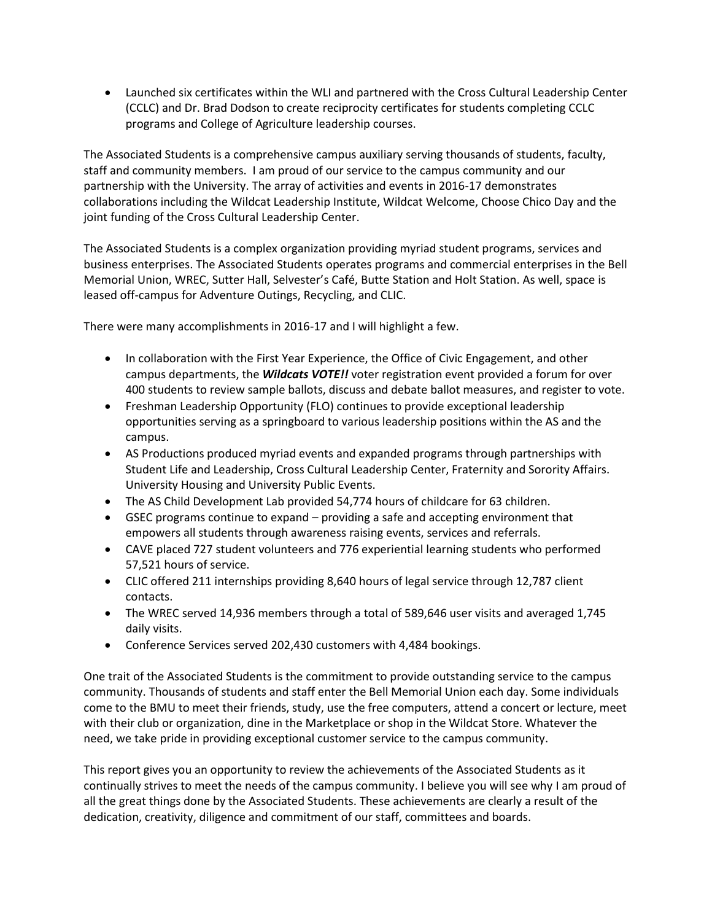Launched six certificates within the WLI and partnered with the Cross Cultural Leadership Center (CCLC) and Dr. Brad Dodson to create reciprocity certificates for students completing CCLC programs and College of Agriculture leadership courses.

The Associated Students is a comprehensive campus auxiliary serving thousands of students, faculty, staff and community members. I am proud of our service to the campus community and our partnership with the University. The array of activities and events in 2016-17 demonstrates collaborations including the Wildcat Leadership Institute, Wildcat Welcome, Choose Chico Day and the joint funding of the Cross Cultural Leadership Center.

The Associated Students is a complex organization providing myriad student programs, services and business enterprises. The Associated Students operates programs and commercial enterprises in the Bell Memorial Union, WREC, Sutter Hall, Selvester's Café, Butte Station and Holt Station. As well, space is leased off-campus for Adventure Outings, Recycling, and CLIC.

There were many accomplishments in 2016-17 and I will highlight a few.

- In collaboration with the First Year Experience, the Office of Civic Engagement, and other campus departments, the *Wildcats VOTE!!* voter registration event provided a forum for over 400 students to review sample ballots, discuss and debate ballot measures, and register to vote.
- Freshman Leadership Opportunity (FLO) continues to provide exceptional leadership opportunities serving as a springboard to various leadership positions within the AS and the campus.
- AS Productions produced myriad events and expanded programs through partnerships with Student Life and Leadership, Cross Cultural Leadership Center, Fraternity and Sorority Affairs. University Housing and University Public Events.
- The AS Child Development Lab provided 54,774 hours of childcare for 63 children.
- GSEC programs continue to expand providing a safe and accepting environment that empowers all students through awareness raising events, services and referrals.
- CAVE placed 727 student volunteers and 776 experiential learning students who performed 57,521 hours of service.
- CLIC offered 211 internships providing 8,640 hours of legal service through 12,787 client contacts.
- The WREC served 14,936 members through a total of 589,646 user visits and averaged 1,745 daily visits.
- Conference Services served 202,430 customers with 4,484 bookings.

One trait of the Associated Students is the commitment to provide outstanding service to the campus community. Thousands of students and staff enter the Bell Memorial Union each day. Some individuals come to the BMU to meet their friends, study, use the free computers, attend a concert or lecture, meet with their club or organization, dine in the Marketplace or shop in the Wildcat Store. Whatever the need, we take pride in providing exceptional customer service to the campus community.

This report gives you an opportunity to review the achievements of the Associated Students as it continually strives to meet the needs of the campus community. I believe you will see why I am proud of all the great things done by the Associated Students. These achievements are clearly a result of the dedication, creativity, diligence and commitment of our staff, committees and boards.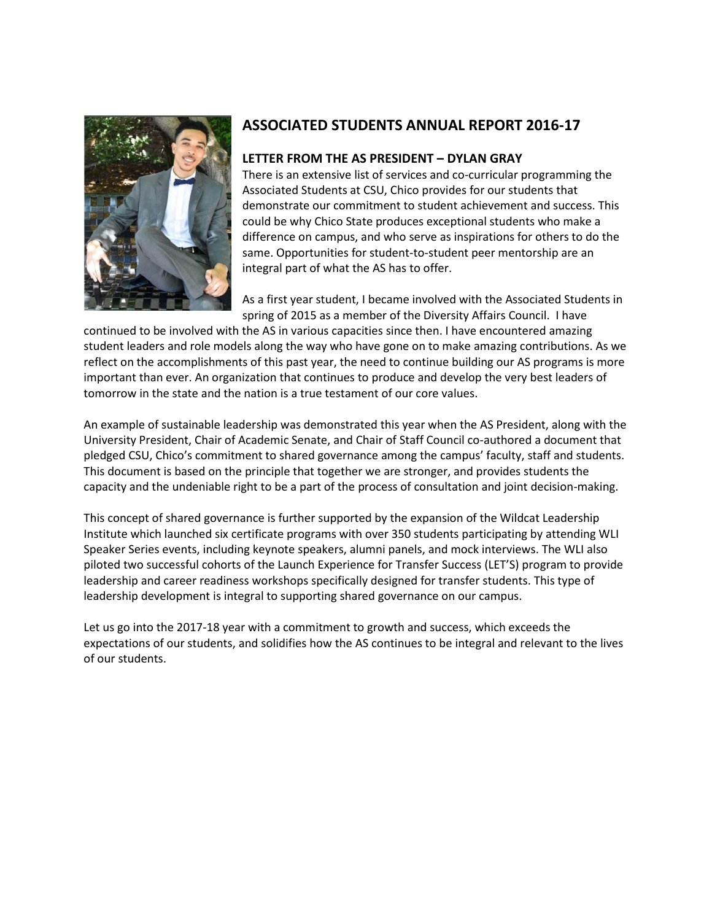

# **ASSOCIATED STUDENTS ANNUAL REPORT 2016-17**

### **LETTER FROM THE AS PRESIDENT – DYLAN GRAY**

There is an extensive list of services and co-curricular programming the Associated Students at CSU, Chico provides for our students that demonstrate our commitment to student achievement and success. This could be why Chico State produces exceptional students who make a difference on campus, and who serve as inspirations for others to do the same. Opportunities for student-to-student peer mentorship are an integral part of what the AS has to offer.

As a first year student, I became involved with the Associated Students in spring of 2015 as a member of the Diversity Affairs Council. I have

continued to be involved with the AS in various capacities since then. I have encountered amazing student leaders and role models along the way who have gone on to make amazing contributions. As we reflect on the accomplishments of this past year, the need to continue building our AS programs is more important than ever. An organization that continues to produce and develop the very best leaders of tomorrow in the state and the nation is a true testament of our core values.

An example of sustainable leadership was demonstrated this year when the AS President, along with the University President, Chair of Academic Senate, and Chair of Staff Council co-authored a document that pledged CSU, Chico's commitment to shared governance among the campus' faculty, staff and students. This document is based on the principle that together we are stronger, and provides students the capacity and the undeniable right to be a part of the process of consultation and joint decision-making.

This concept of shared governance is further supported by the expansion of the Wildcat Leadership Institute which launched six certificate programs with over 350 students participating by attending WLI Speaker Series events, including keynote speakers, alumni panels, and mock interviews. The WLI also piloted two successful cohorts of the Launch Experience for Transfer Success (LET'S) program to provide leadership and career readiness workshops specifically designed for transfer students. This type of leadership development is integral to supporting shared governance on our campus.

Let us go into the 2017-18 year with a commitment to growth and success, which exceeds the expectations of our students, and solidifies how the AS continues to be integral and relevant to the lives of our students.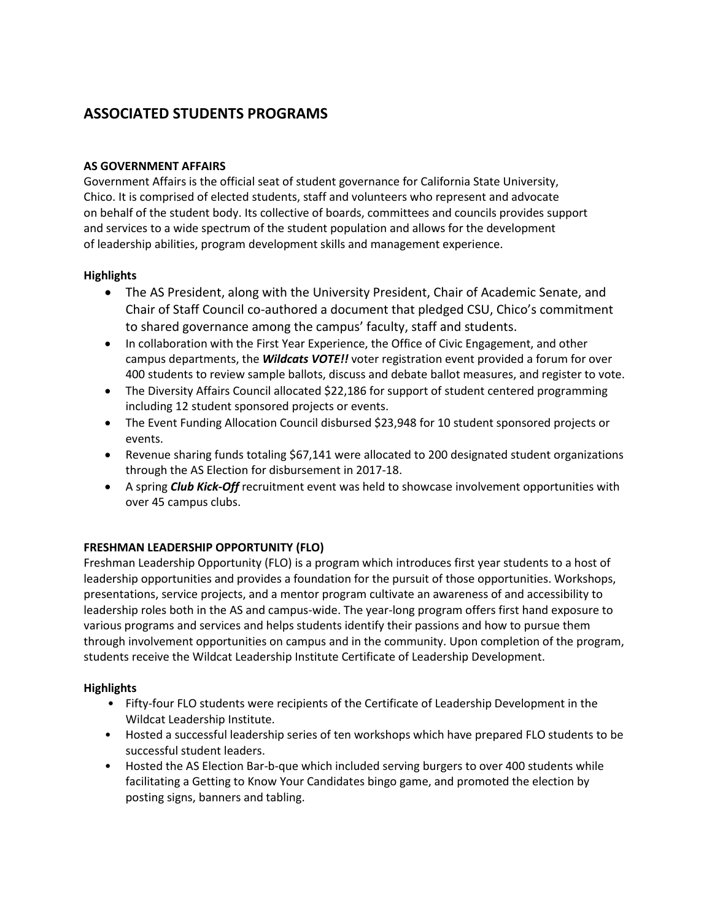# **ASSOCIATED STUDENTS PROGRAMS**

## **AS GOVERNMENT AFFAIRS**

Government Affairs is the official seat of student governance for California State University, Chico. It is comprised of elected students, staff and volunteers who represent and advocate on behalf of the student body. Its collective of boards, committees and councils provides support and services to a wide spectrum of the student population and allows for the development of leadership abilities, program development skills and management experience.

# **Highlights**

- The AS President, along with the University President, Chair of Academic Senate, and Chair of Staff Council co-authored a document that pledged CSU, Chico's commitment to shared governance among the campus' faculty, staff and students.
- In collaboration with the First Year Experience, the Office of Civic Engagement, and other campus departments, the *Wildcats VOTE!!* voter registration event provided a forum for over 400 students to review sample ballots, discuss and debate ballot measures, and register to vote.
- The Diversity Affairs Council allocated \$22,186 for support of student centered programming including 12 student sponsored projects or events.
- The Event Funding Allocation Council disbursed \$23,948 for 10 student sponsored projects or events.
- Revenue sharing funds totaling \$67,141 were allocated to 200 designated student organizations through the AS Election for disbursement in 2017-18.
- A spring *Club Kick-Off* recruitment event was held to showcase involvement opportunities with over 45 campus clubs.

# **FRESHMAN LEADERSHIP OPPORTUNITY (FLO)**

Freshman Leadership Opportunity (FLO) is a program which introduces first year students to a host of leadership opportunities and provides a foundation for the pursuit of those opportunities. Workshops, presentations, service projects, and a mentor program cultivate an awareness of and accessibility to leadership roles both in the AS and campus-wide. The year-long program offers first hand exposure to various programs and services and helps students identify their passions and how to pursue them through involvement opportunities on campus and in the community. Upon completion of the program, students receive the Wildcat Leadership Institute Certificate of Leadership Development.

## **Highlights**

- Fifty-four FLO students were recipients of the Certificate of Leadership Development in the Wildcat Leadership Institute.
- Hosted a successful leadership series of ten workshops which have prepared FLO students to be successful student leaders.
- Hosted the AS Election Bar-b-que which included serving burgers to over 400 students while facilitating a Getting to Know Your Candidates bingo game, and promoted the election by posting signs, banners and tabling.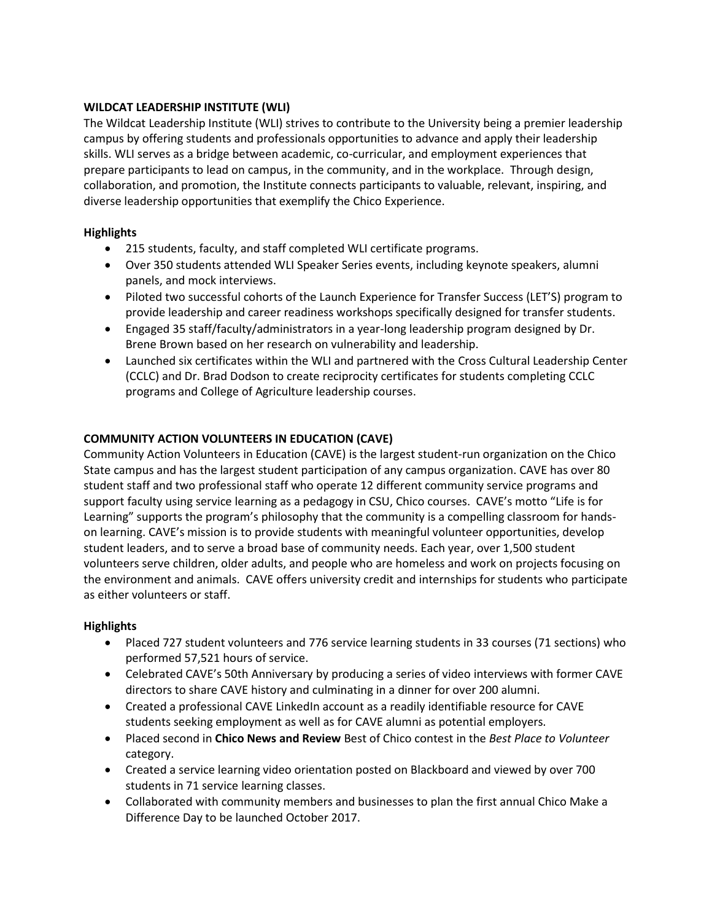### **WILDCAT LEADERSHIP INSTITUTE (WLI)**

The Wildcat Leadership Institute (WLI) strives to contribute to the University being a premier leadership campus by offering students and professionals opportunities to advance and apply their leadership skills. WLI serves as a bridge between academic, co-curricular, and employment experiences that prepare participants to lead on campus, in the community, and in the workplace. Through design, collaboration, and promotion, the Institute connects participants to valuable, relevant, inspiring, and diverse leadership opportunities that exemplify the Chico Experience.

### **Highlights**

- 215 students, faculty, and staff completed WLI certificate programs.
- Over 350 students attended WLI Speaker Series events, including keynote speakers, alumni panels, and mock interviews.
- Piloted two successful cohorts of the Launch Experience for Transfer Success (LET'S) program to provide leadership and career readiness workshops specifically designed for transfer students.
- Engaged 35 staff/faculty/administrators in a year-long leadership program designed by Dr. Brene Brown based on her research on vulnerability and leadership.
- Launched six certificates within the WLI and partnered with the Cross Cultural Leadership Center (CCLC) and Dr. Brad Dodson to create reciprocity certificates for students completing CCLC programs and College of Agriculture leadership courses.

## **COMMUNITY ACTION VOLUNTEERS IN EDUCATION (CAVE)**

Community Action Volunteers in Education (CAVE) is the largest student-run organization on the Chico State campus and has the largest student participation of any campus organization. CAVE has over 80 student staff and two professional staff who operate 12 different community service programs and support faculty using service learning as a pedagogy in CSU, Chico courses. CAVE's motto "Life is for Learning" supports the program's philosophy that the community is a compelling classroom for handson learning. CAVE's mission is to provide students with meaningful volunteer opportunities, develop student leaders, and to serve a broad base of community needs. Each year, over 1,500 student volunteers serve children, older adults, and people who are homeless and work on projects focusing on the environment and animals. CAVE offers university credit and internships for students who participate as either volunteers or staff.

### **Highlights**

- Placed 727 student volunteers and 776 service learning students in 33 courses (71 sections) who performed 57,521 hours of service.
- Celebrated CAVE's 50th Anniversary by producing a series of video interviews with former CAVE directors to share CAVE history and culminating in a dinner for over 200 alumni.
- Created a professional CAVE LinkedIn account as a readily identifiable resource for CAVE students seeking employment as well as for CAVE alumni as potential employers.
- Placed second in **Chico News and Review** Best of Chico contest in the *Best Place to Volunteer* category.
- Created a service learning video orientation posted on Blackboard and viewed by over 700 students in 71 service learning classes.
- Collaborated with community members and businesses to plan the first annual Chico Make a Difference Day to be launched October 2017.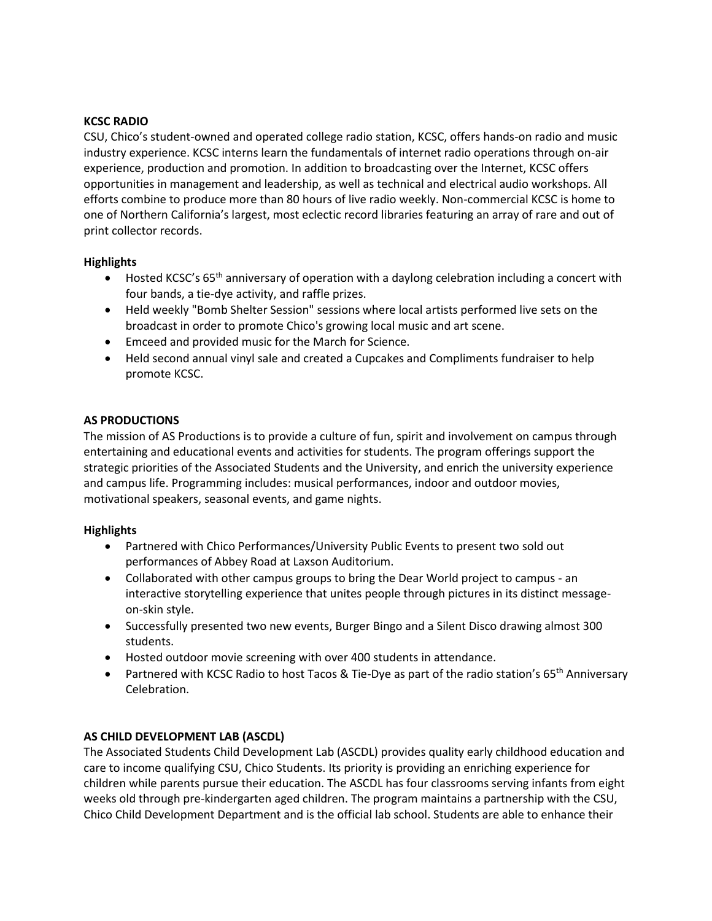### **KCSC RADIO**

CSU, Chico's student-owned and operated college radio station, KCSC, offers hands-on radio and music industry experience. KCSC interns learn the fundamentals of internet radio operations through on-air experience, production and promotion. In addition to broadcasting over the Internet, KCSC offers opportunities in management and leadership, as well as technical and electrical audio workshops. All efforts combine to produce more than 80 hours of live radio weekly. Non-commercial KCSC is home to one of Northern California's largest, most eclectic record libraries featuring an array of rare and out of print collector records.

### **Highlights**

- Hosted KCSC's 65<sup>th</sup> anniversary of operation with a daylong celebration including a concert with four bands, a tie-dye activity, and raffle prizes.
- Held weekly "Bomb Shelter Session" sessions where local artists performed live sets on the broadcast in order to promote Chico's growing local music and art scene.
- Emceed and provided music for the March for Science.
- Held second annual vinyl sale and created a Cupcakes and Compliments fundraiser to help promote KCSC.

### **AS PRODUCTIONS**

The mission of AS Productions is to provide a culture of fun, spirit and involvement on campus through entertaining and educational events and activities for students. The program offerings support the strategic priorities of the Associated Students and the University, and enrich the university experience and campus life. Programming includes: musical performances, indoor and outdoor movies, motivational speakers, seasonal events, and game nights.

### **Highlights**

- Partnered with Chico Performances/University Public Events to present two sold out performances of Abbey Road at Laxson Auditorium.
- Collaborated with other campus groups to bring the Dear World project to campus an interactive storytelling experience that unites people through pictures in its distinct messageon-skin style.
- Successfully presented two new events, Burger Bingo and a Silent Disco drawing almost 300 students.
- Hosted outdoor movie screening with over 400 students in attendance.
- Partnered with KCSC Radio to host Tacos & Tie-Dye as part of the radio station's 65<sup>th</sup> Anniversary Celebration.

### **AS CHILD DEVELOPMENT LAB (ASCDL)**

The Associated Students Child Development Lab (ASCDL) provides quality early childhood education and care to income qualifying CSU, Chico Students. Its priority is providing an enriching experience for children while parents pursue their education. The ASCDL has four classrooms serving infants from eight weeks old through pre-kindergarten aged children. The program maintains a partnership with the CSU, Chico Child Development Department and is the official lab school. Students are able to enhance their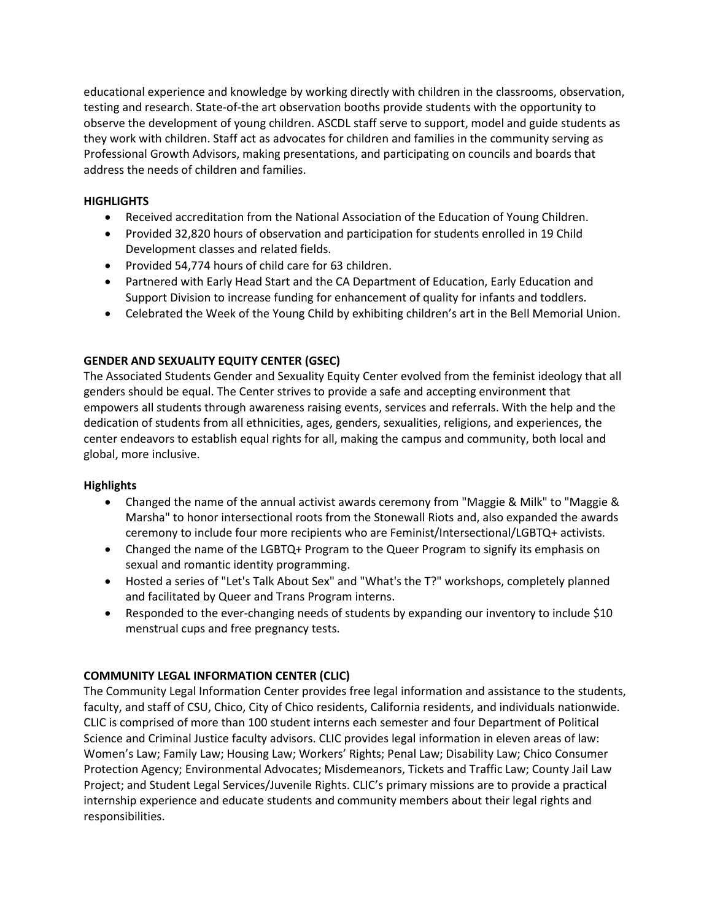educational experience and knowledge by working directly with children in the classrooms, observation, testing and research. State-of-the art observation booths provide students with the opportunity to observe the development of young children. ASCDL staff serve to support, model and guide students as they work with children. Staff act as advocates for children and families in the community serving as Professional Growth Advisors, making presentations, and participating on councils and boards that address the needs of children and families.

### **HIGHLIGHTS**

- Received accreditation from the National Association of the Education of Young Children.
- Provided 32,820 hours of observation and participation for students enrolled in 19 Child Development classes and related fields.
- Provided 54,774 hours of child care for 63 children.
- Partnered with Early Head Start and the CA Department of Education, Early Education and Support Division to increase funding for enhancement of quality for infants and toddlers.
- Celebrated the Week of the Young Child by exhibiting children's art in the Bell Memorial Union.

### **GENDER AND SEXUALITY EQUITY CENTER (GSEC)**

The Associated Students Gender and Sexuality Equity Center evolved from the feminist ideology that all genders should be equal. The Center strives to provide a safe and accepting environment that empowers all students through awareness raising events, services and referrals. With the help and the dedication of students from all ethnicities, ages, genders, sexualities, religions, and experiences, the center endeavors to establish equal rights for all, making the campus and community, both local and global, more inclusive.

### **Highlights**

- Changed the name of the annual activist awards ceremony from "Maggie & Milk" to "Maggie & Marsha" to honor intersectional roots from the Stonewall Riots and, also expanded the awards ceremony to include four more recipients who are Feminist/Intersectional/LGBTQ+ activists.
- Changed the name of the LGBTQ+ Program to the Queer Program to signify its emphasis on sexual and romantic identity programming.
- Hosted a series of "Let's Talk About Sex" and "What's the T?" workshops, completely planned and facilitated by Queer and Trans Program interns.
- Responded to the ever-changing needs of students by expanding our inventory to include \$10 menstrual cups and free pregnancy tests.

### **COMMUNITY LEGAL INFORMATION CENTER (CLIC)**

The Community Legal Information Center provides free legal information and assistance to the students, faculty, and staff of CSU, Chico, City of Chico residents, California residents, and individuals nationwide. CLIC is comprised of more than 100 student interns each semester and four Department of Political Science and Criminal Justice faculty advisors. CLIC provides legal information in eleven areas of law: Women's Law; Family Law; Housing Law; Workers' Rights; Penal Law; Disability Law; Chico Consumer Protection Agency; Environmental Advocates; Misdemeanors, Tickets and Traffic Law; County Jail Law Project; and Student Legal Services/Juvenile Rights. CLIC's primary missions are to provide a practical internship experience and educate students and community members about their legal rights and responsibilities.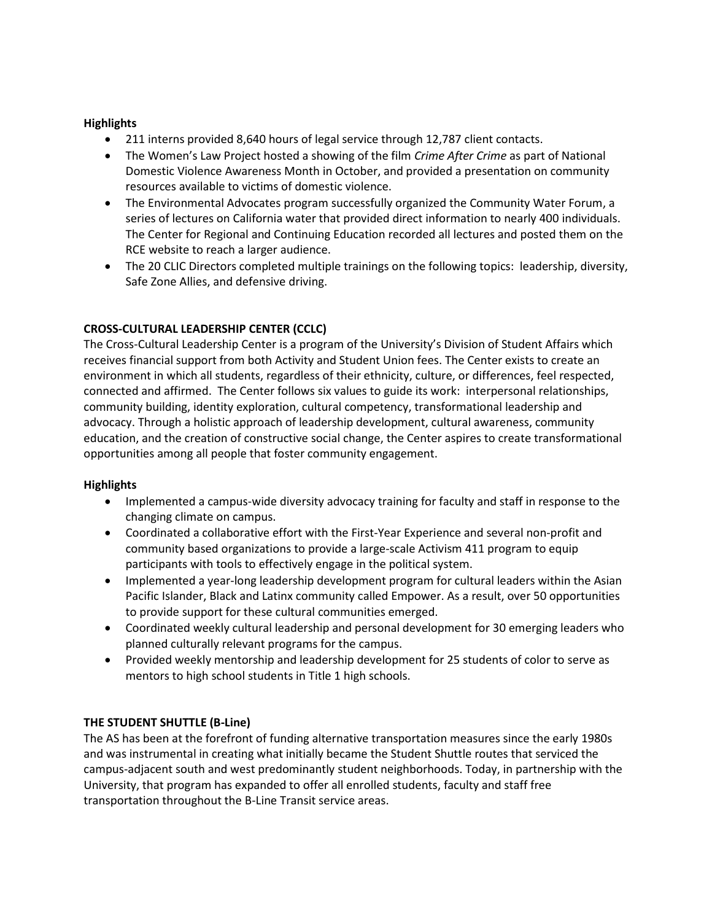### **Highlights**

- 211 interns provided 8,640 hours of legal service through 12,787 client contacts.
- The Women's Law Project hosted a showing of the film *Crime After Crime* as part of National Domestic Violence Awareness Month in October, and provided a presentation on community resources available to victims of domestic violence.
- The Environmental Advocates program successfully organized the Community Water Forum, a series of lectures on California water that provided direct information to nearly 400 individuals. The Center for Regional and Continuing Education recorded all lectures and posted them on the RCE website to reach a larger audience.
- The 20 CLIC Directors completed multiple trainings on the following topics: leadership, diversity, Safe Zone Allies, and defensive driving.

## **CROSS-CULTURAL LEADERSHIP CENTER (CCLC)**

The Cross-Cultural Leadership Center is a program of the University's Division of Student Affairs which receives financial support from both Activity and Student Union fees. The Center exists to create an environment in which all students, regardless of their ethnicity, culture, or differences, feel respected, connected and affirmed. The Center follows six values to guide its work: interpersonal relationships, community building, identity exploration, cultural competency, transformational leadership and advocacy. Through a holistic approach of leadership development, cultural awareness, community education, and the creation of constructive social change, the Center aspires to create transformational opportunities among all people that foster community engagement.

### **Highlights**

- Implemented a campus-wide diversity advocacy training for faculty and staff in response to the changing climate on campus.
- Coordinated a collaborative effort with the First-Year Experience and several non-profit and community based organizations to provide a large-scale Activism 411 program to equip participants with tools to effectively engage in the political system.
- Implemented a year-long leadership development program for cultural leaders within the Asian Pacific Islander, Black and Latinx community called Empower. As a result, over 50 opportunities to provide support for these cultural communities emerged.
- Coordinated weekly cultural leadership and personal development for 30 emerging leaders who planned culturally relevant programs for the campus.
- Provided weekly mentorship and leadership development for 25 students of color to serve as mentors to high school students in Title 1 high schools.

## **THE STUDENT SHUTTLE (B-Line)**

The AS has been at the forefront of funding alternative transportation measures since the early 1980s and was instrumental in creating what initially became the Student Shuttle routes that serviced the campus-adjacent south and west predominantly student neighborhoods. Today, in partnership with the University, that program has expanded to offer all enrolled students, faculty and staff free transportation throughout the B-Line Transit service areas.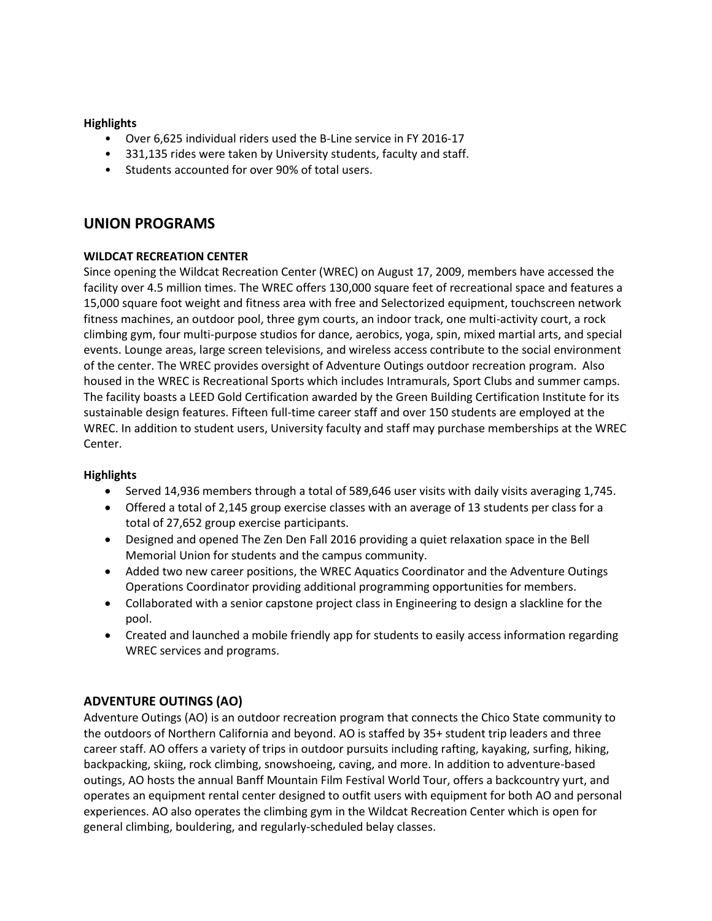### **Highlights**

- Over 6,625 individual riders used the B-Line service in FY 2016-17
- 331,135 rides were taken by University students, faculty and staff.
- Students accounted for over 90% of total users.

# **UNION PROGRAMS**

### **WILDCAT RECREATION CENTER**

Since opening the Wildcat Recreation Center (WREC) on August 17, 2009, members have accessed the facility over 4.5 million times. The WREC offers 130,000 square feet of recreational space and features a 15,000 square foot weight and fitness area with free and Selectorized equipment, touchscreen network fitness machines, an outdoor pool, three gym courts, an indoor track, one multi-activity court, a rock climbing gym, four multi-purpose studios for dance, aerobics, yoga, spin, mixed martial arts, and special events. Lounge areas, large screen televisions, and wireless access contribute to the social environment of the center. The WREC provides oversight of Adventure Outings outdoor recreation program. Also housed in the WREC is Recreational Sports which includes Intramurals, Sport Clubs and summer camps. The facility boasts a LEED Gold Certification awarded by the Green Building Certification Institute for its sustainable design features. Fifteen full-time career staff and over 150 students are employed at the WREC. In addition to student users, University faculty and staff may purchase memberships at the WREC Center.

### **Highlights**

- Served 14,936 members through a total of 589,646 user visits with daily visits averaging 1,745.
- Offered a total of 2,145 group exercise classes with an average of 13 students per class for a total of 27,652 group exercise participants.
- Designed and opened The Zen Den Fall 2016 providing a quiet relaxation space in the Bell Memorial Union for students and the campus community.
- Added two new career positions, the WREC Aquatics Coordinator and the Adventure Outings Operations Coordinator providing additional programming opportunities for members.
- Collaborated with a senior capstone project class in Engineering to design a slackline for the pool.
- Created and launched a mobile friendly app for students to easily access information regarding WREC services and programs.

## **ADVENTURE OUTINGS (AO)**

Adventure Outings (AO) is an outdoor recreation program that connects the Chico State community to the outdoors of Northern California and beyond. AO is staffed by 35+ student trip leaders and three career staff. AO offers a variety of trips in outdoor pursuits including rafting, kayaking, surfing, hiking, backpacking, skiing, rock climbing, snowshoeing, caving, and more. In addition to adventure-based outings, AO hosts the annual Banff Mountain Film Festival World Tour, offers a backcountry yurt, and operates an equipment rental center designed to outfit users with equipment for both AO and personal experiences. AO also operates the climbing gym in the Wildcat Recreation Center which is open for general climbing, bouldering, and regularly-scheduled belay classes.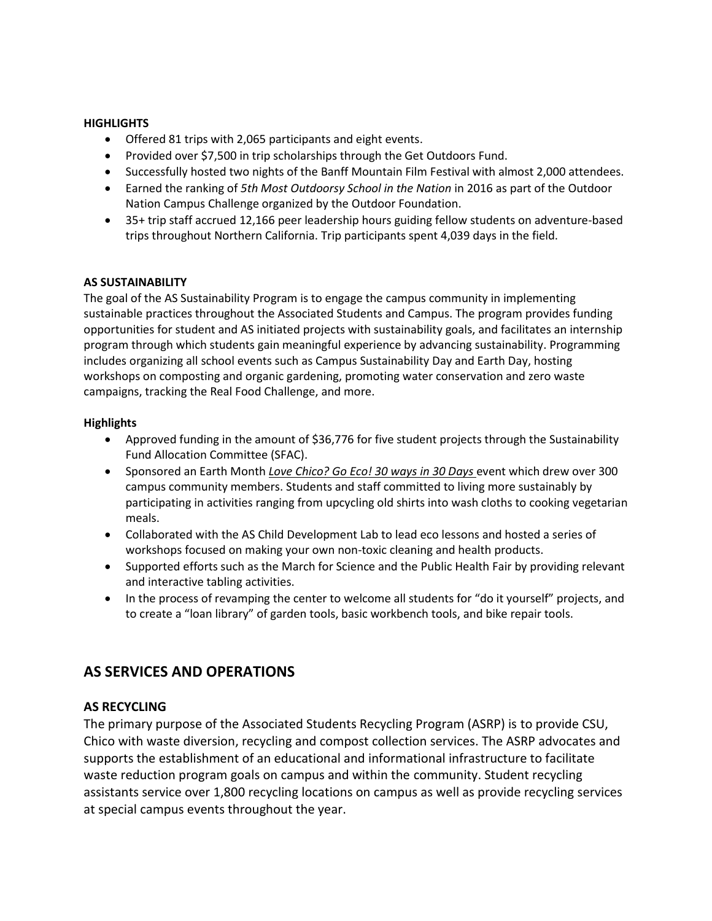### **HIGHLIGHTS**

- Offered 81 trips with 2,065 participants and eight events.
- Provided over \$7,500 in trip scholarships through the Get Outdoors Fund.
- Successfully hosted two nights of the Banff Mountain Film Festival with almost 2,000 attendees.
- Earned the ranking of *5th Most Outdoorsy School in the Nation* in 2016 as part of the Outdoor Nation Campus Challenge organized by the Outdoor Foundation.
- 35+ trip staff accrued 12,166 peer leadership hours guiding fellow students on adventure-based trips throughout Northern California. Trip participants spent 4,039 days in the field.

### **AS SUSTAINABILITY**

The goal of the AS Sustainability Program is to engage the campus community in implementing sustainable practices throughout the Associated Students and Campus. The program provides funding opportunities for student and AS initiated projects with sustainability goals, and facilitates an internship program through which students gain meaningful experience by advancing sustainability. Programming includes organizing all school events such as Campus Sustainability Day and Earth Day, hosting workshops on composting and organic gardening, promoting water conservation and zero waste campaigns, tracking the Real Food Challenge, and more.

### **Highlights**

- Approved funding in the amount of \$36,776 for five student projects through the Sustainability Fund Allocation Committee (SFAC).
- Sponsored an Earth Month *Love Chico? Go Eco! 30 ways in 30 Days* event which drew over 300 campus community members. Students and staff committed to living more sustainably by participating in activities ranging from upcycling old shirts into wash cloths to cooking vegetarian meals.
- Collaborated with the AS Child Development Lab to lead eco lessons and hosted a series of workshops focused on making your own non-toxic cleaning and health products.
- Supported efforts such as the March for Science and the Public Health Fair by providing relevant and interactive tabling activities.
- In the process of revamping the center to welcome all students for "do it yourself" projects, and to create a "loan library" of garden tools, basic workbench tools, and bike repair tools.

# **AS SERVICES AND OPERATIONS**

## **AS RECYCLING**

The primary purpose of the Associated Students Recycling Program (ASRP) is to provide CSU, Chico with waste diversion, recycling and compost collection services. The ASRP advocates and supports the establishment of an educational and informational infrastructure to facilitate waste reduction program goals on campus and within the community. Student recycling assistants service over 1,800 recycling locations on campus as well as provide recycling services at special campus events throughout the year.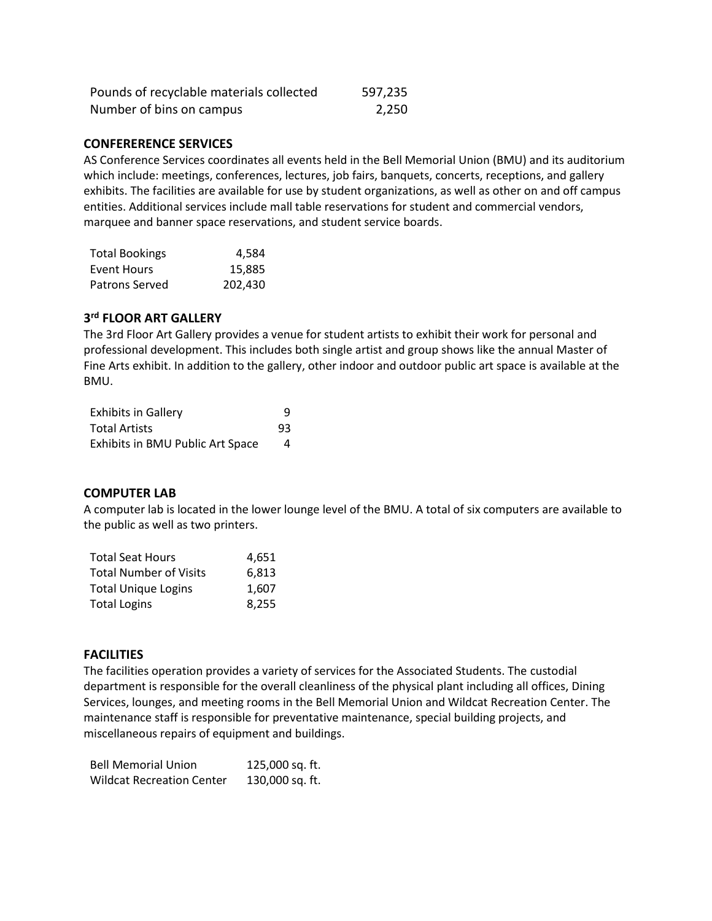| Pounds of recyclable materials collected | 597,235 |
|------------------------------------------|---------|
| Number of bins on campus                 | 2,250   |

#### **CONFERERENCE SERVICES**

AS Conference Services coordinates all events held in the Bell Memorial Union (BMU) and its auditorium which include: meetings, conferences, lectures, job fairs, banquets, concerts, receptions, and gallery exhibits. The facilities are available for use by student organizations, as well as other on and off campus entities. Additional services include mall table reservations for student and commercial vendors, marquee and banner space reservations, and student service boards.

| <b>Total Bookings</b> | 4,584   |
|-----------------------|---------|
| Event Hours           | 15,885  |
| Patrons Served        | 202,430 |

### **3 rd FLOOR ART GALLERY**

The 3rd Floor Art Gallery provides a venue for student artists to exhibit their work for personal and professional development. This includes both single artist and group shows like the annual Master of Fine Arts exhibit. In addition to the gallery, other indoor and outdoor public art space is available at the BMU.

| <b>Exhibits in Gallery</b>       | q  |
|----------------------------------|----|
| <b>Total Artists</b>             | 93 |
| Exhibits in BMU Public Art Space | 4  |

### **COMPUTER LAB**

A computer lab is located in the lower lounge level of the BMU. A total of six computers are available to the public as well as two printers.

| <b>Total Seat Hours</b>       | 4.651 |
|-------------------------------|-------|
| <b>Total Number of Visits</b> | 6.813 |
| <b>Total Unique Logins</b>    | 1.607 |
| <b>Total Logins</b>           | 8,255 |

### **FACILITIES**

The facilities operation provides a variety of services for the Associated Students. The custodial department is responsible for the overall cleanliness of the physical plant including all offices, Dining Services, lounges, and meeting rooms in the Bell Memorial Union and Wildcat Recreation Center. The maintenance staff is responsible for preventative maintenance, special building projects, and miscellaneous repairs of equipment and buildings.

| <b>Bell Memorial Union</b>       | 125,000 sq. ft. |
|----------------------------------|-----------------|
| <b>Wildcat Recreation Center</b> | 130,000 sq. ft. |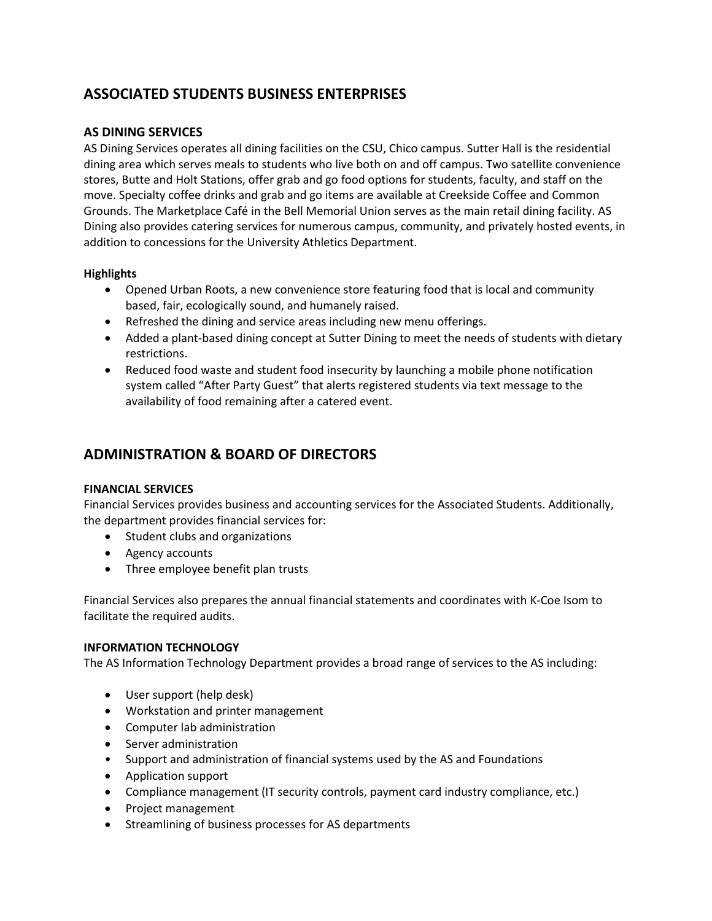# **ASSOCIATED STUDENTS BUSINESS ENTERPRISES**

### **AS DINING SERVICES**

AS Dining Services operates all dining facilities on the CSU, Chico campus. Sutter Hall is the residential dining area which serves meals to students who live both on and off campus. Two satellite convenience stores, Butte and Holt Stations, offer grab and go food options for students, faculty, and staff on the move. Specialty coffee drinks and grab and go items are available at Creekside Coffee and Common Grounds. The Marketplace Café in the Bell Memorial Union serves as the main retail dining facility. AS Dining also provides catering services for numerous campus, community, and privately hosted events, in addition to concessions for the University Athletics Department.

### **Highlights**

- Opened Urban Roots, a new convenience store featuring food that is local and community based, fair, ecologically sound, and humanely raised.
- Refreshed the dining and service areas including new menu offerings.
- Added a plant-based dining concept at Sutter Dining to meet the needs of students with dietary restrictions.
- Reduced food waste and student food insecurity by launching a mobile phone notification system called "After Party Guest" that alerts registered students via text message to the availability of food remaining after a catered event.

# **ADMINISTRATION & BOARD OF DIRECTORS**

### **FINANCIAL SERVICES**

Financial Services provides business and accounting services for the Associated Students. Additionally, the department provides financial services for:

- Student clubs and organizations
- Agency accounts
- Three employee benefit plan trusts

Financial Services also prepares the annual financial statements and coordinates with K-Coe Isom to facilitate the required audits.

### **INFORMATION TECHNOLOGY**

The AS Information Technology Department provides a broad range of services to the AS including:

- User support (help desk)
- Workstation and printer management
- Computer lab administration
- Server administration
- Support and administration of financial systems used by the AS and Foundations
- Application support
- Compliance management (IT security controls, payment card industry compliance, etc.)
- Project management
- Streamlining of business processes for AS departments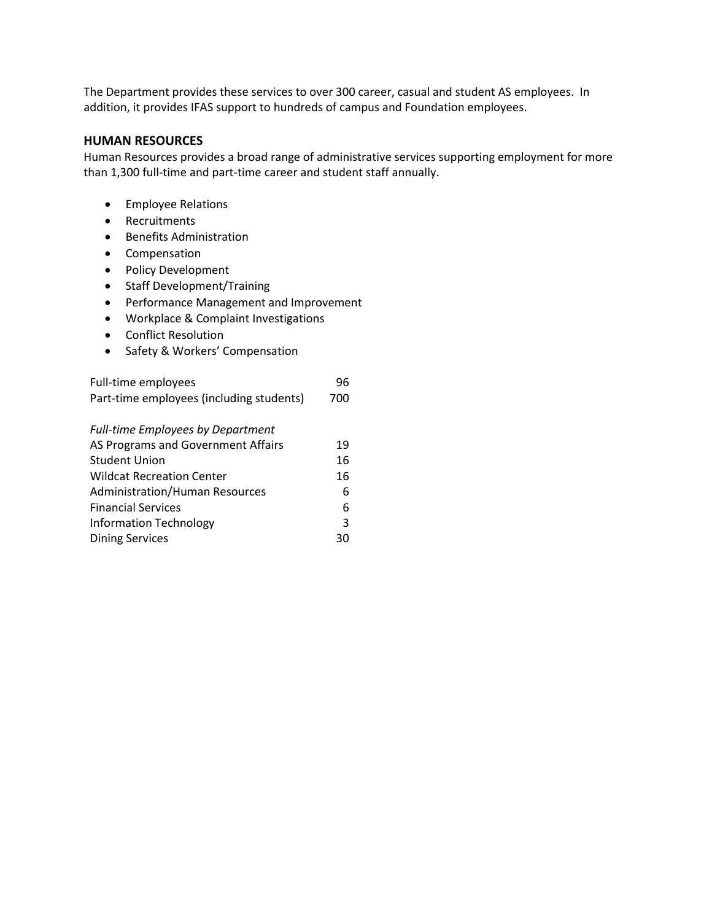The Department provides these services to over 300 career, casual and student AS employees. In addition, it provides IFAS support to hundreds of campus and Foundation employees.

#### **HUMAN RESOURCES**

Human Resources provides a broad range of administrative services supporting employment for more than 1,300 full-time and part-time career and student staff annually.

- Employee Relations
- Recruitments
- **•** Benefits Administration
- Compensation
- Policy Development
- Staff Development/Training
- Performance Management and Improvement
- Workplace & Complaint Investigations
- Conflict Resolution
- Safety & Workers' Compensation

| Full-time employees                      | 96  |
|------------------------------------------|-----|
| Part-time employees (including students) | 700 |
| <b>Full-time Employees by Department</b> |     |
| AS Programs and Government Affairs       | 19  |
| Student Union                            | 16  |
| <b>Wildcat Recreation Center</b>         | 16  |
| <b>Administration/Human Resources</b>    | 6   |
| <b>Financial Services</b>                | 6   |
| <b>Information Technology</b>            | 3   |
| <b>Dining Services</b>                   | 30  |